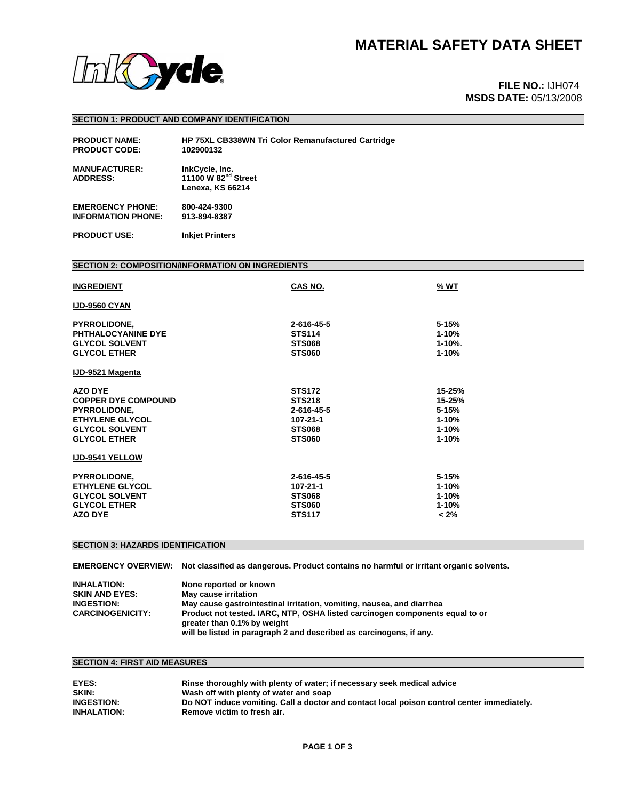

# **MSDS DATE:** 05/13/2008

## **SECTION 1: PRODUCT AND COMPANY IDENTIFICATION**

| <b>PRODUCT NAME:</b>                    | <b>HP 75XL CB338WN Tri Color Remanufactured Cartridge</b>                    |
|-----------------------------------------|------------------------------------------------------------------------------|
| <b>PRODUCT CODE:</b>                    | 102900132                                                                    |
| <b>MANUFACTURER:</b><br><b>ADDRESS:</b> | InkCycle, Inc.<br>11100 W 82 <sup>nd</sup> Street<br><b>Lenexa, KS 66214</b> |
| <b>EMERGENCY PHONE:</b>                 | 800-424-9300                                                                 |
| <b>INFORMATION PHONE:</b>               | 913-894-8387                                                                 |

**PRODUCT USE: Inkjet Printers** 

## **SECTION 2: COMPOSITION/INFORMATION ON INGREDIENTS**

| <b>INGREDIENT</b>                                                                                                                             | CAS NO.                                                                                    | % WT                                                                 |
|-----------------------------------------------------------------------------------------------------------------------------------------------|--------------------------------------------------------------------------------------------|----------------------------------------------------------------------|
| <b>IJD-9560 CYAN</b>                                                                                                                          |                                                                                            |                                                                      |
| <b>PYRROLIDONE,</b><br>PHTHALOCYANINE DYE<br><b>GLYCOL SOLVENT</b><br><b>GLYCOL ETHER</b>                                                     | 2-616-45-5<br><b>STS114</b><br><b>STS068</b><br><b>STS060</b>                              | $5 - 15%$<br>$1 - 10%$<br>$1 - 10%$ .<br>$1 - 10%$                   |
| IJD-9521 Magenta                                                                                                                              |                                                                                            |                                                                      |
| <b>AZO DYE</b><br><b>COPPER DYE COMPOUND</b><br><b>PYRROLIDONE,</b><br><b>ETHYLENE GLYCOL</b><br><b>GLYCOL SOLVENT</b><br><b>GLYCOL ETHER</b> | <b>STS172</b><br><b>STS218</b><br>2-616-45-5<br>107-21-1<br><b>STS068</b><br><b>STS060</b> | 15-25%<br>15-25%<br>$5 - 15%$<br>$1 - 10%$<br>$1 - 10%$<br>$1 - 10%$ |
| <b>IJD-9541 YELLOW</b>                                                                                                                        |                                                                                            |                                                                      |
| <b>PYRROLIDONE,</b><br><b>ETHYLENE GLYCOL</b><br><b>GLYCOL SOLVENT</b><br><b>GLYCOL ETHER</b><br><b>AZO DYE</b>                               | 2-616-45-5<br>107-21-1<br><b>STS068</b><br><b>STS060</b><br><b>STS117</b>                  | 5-15%<br>$1 - 10%$<br>$1 - 10%$<br>$1 - 10%$<br>$< 2\%$              |

# **SECTION 3: HAZARDS IDENTIFICATION**

**EMERGENCY OVERVIEW: Not classified as dangerous. Product contains no harmful or irritant organic solvents.** 

| <b>INHALATION:</b><br><b>SKIN AND EYES:</b> | None reported or known<br>May cause irritation                                                              |
|---------------------------------------------|-------------------------------------------------------------------------------------------------------------|
| <b>INGESTION:</b>                           | May cause gastrointestinal irritation, vomiting, nausea, and diarrhea                                       |
| <b>CARCINOGENICITY:</b>                     | Product not tested, IARC, NTP, OSHA listed carcinogen components equal to or<br>greater than 0.1% by weight |
|                                             | will be listed in paragraph 2 and described as carcinogens, if any.                                         |

## **SECTION 4: FIRST AID MEASURES**

| EYES:              | Rinse thoroughly with plenty of water; if necessary seek medical advice                    |
|--------------------|--------------------------------------------------------------------------------------------|
| SKIN:              | Wash off with plenty of water and soap                                                     |
| <b>INGESTION:</b>  | Do NOT induce vomiting. Call a doctor and contact local poison control center immediately. |
| <b>INHALATION:</b> | Remove victim to fresh air.                                                                |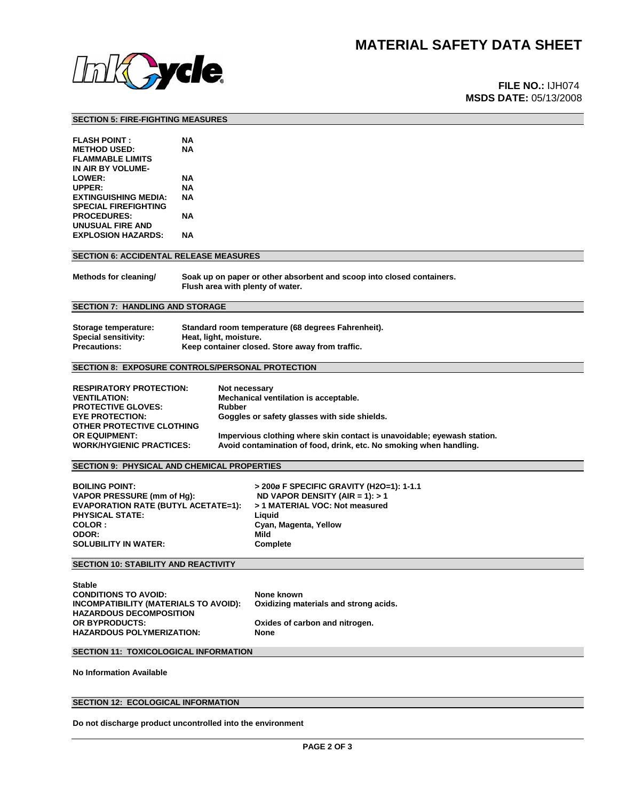

# **MSDS DATE:** 05/13/2008

### **SECTION 5: FIRE-FIGHTING MEASURES**

| <b>FLASH POINT:</b>         | NА |
|-----------------------------|----|
| <b>METHOD USED:</b>         | NΑ |
| <b>FLAMMABLE LIMITS</b>     |    |
| IN AIR BY VOLUME-           |    |
| <b>LOWER:</b>               | NΑ |
| UPPER:                      | NΑ |
| <b>EXTINGUISHING MEDIA:</b> | NΔ |
| <b>SPECIAL FIREFIGHTING</b> |    |
| <b>PROCEDURES:</b>          | NΑ |
| UNUSUAL FIRE AND            |    |
| <b>EXPLOSION HAZARDS:</b>   | NΔ |
|                             |    |

## **SECTION 6: ACCIDENTAL RELEASE MEASURES**

**Methods for cleaning/ Soak up on paper or other absorbent and scoop into closed containers. Flush area with plenty of water.** 

## **SECTION 7: HANDLING AND STORAGE**

| Storage temperature: | Standard room temperature (68 degrees Fahrenheit). |
|----------------------|----------------------------------------------------|
| Special sensitivity: | Heat, light, moisture.                             |
| <b>Precautions:</b>  | Keep container closed. Store away from traffic.    |

## **SECTION 8: EXPOSURE CONTROLS/PERSONAL PROTECTION**

| <b>RESPIRATORY PROTECTION:</b>  | Not necessary                                                           |
|---------------------------------|-------------------------------------------------------------------------|
| <b>VENTILATION:</b>             | Mechanical ventilation is acceptable.                                   |
| <b>PROTECTIVE GLOVES:</b>       | Rubber                                                                  |
| <b>EYE PROTECTION:</b>          | Goggles or safety glasses with side shields.                            |
| OTHER PROTECTIVE CLOTHING       |                                                                         |
| <b>OR EQUIPMENT:</b>            | Impervious clothing where skin contact is unavoidable; eyewash station. |
| <b>WORK/HYGIENIC PRACTICES:</b> | Avoid contamination of food, drink, etc. No smoking when handling.      |

## **SECTION 9: PHYSICAL AND CHEMICAL PROPERTIES**

BOILING POINT: <br>VAPOR PRESSURE (mm of Hg): <br>ND VAPOR DENSITY (AIR = 1): > 1 **EVAPORATION RATE (BUTYL ACETATE=1): > 1 MATERIAL VOC: Not measured PHYSICAL STATE: COLOR : Cyan, Magenta, Yellow**  ODOR: Mild **Mild CODOR:** Mild **CONDUCT:** Mild **COMPLE SOLUBILITY IN WATER:** 

**ND VAPOR DENSITY (AIR = 1): > 1** 

## **SECTION 10: STABILITY AND REACTIVITY**

**Stable CONDITIONS TO AVOID:** None known **INCOMPATIBILITY (MATERIALS TO AVOID): Oxidizing materials and strong acids. HAZARDOUS DECOMPOSITION**  OR BYPRODUCTS: OXIDENTIAL Oxides of carbon and nitrogen.<br>
HAZARDOUS POLYMERIZATION: None **HAZARDOUS POLYMERIZATION:** 

## **SECTION 11: TOXICOLOGICAL INFORMATION**

**No Information Available** 

## **SECTION 12: ECOLOGICAL INFORMATION**

**Do not discharge product uncontrolled into the environment**